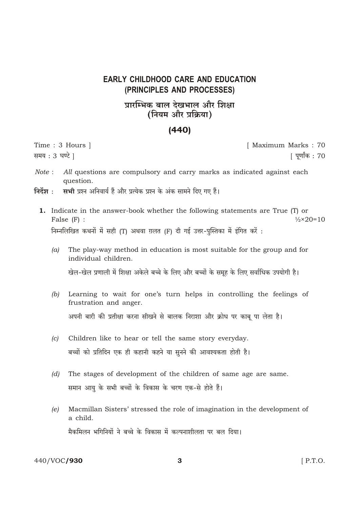## **EARLY CHILDHOOD CARE AND EDUCATION** (PRINCIPLES AND PROCESSES)

## प्रारम्भिक बाल देखभाल और शिक्षा (नियम और प्रक्रिया)

## $(440)$

Time: 3 Hours | समय: 3 घण्टे |

[ Maximum Marks: 70 <u>[</u> पुर्णांक : 70

- Note: All questions are compulsory and carry marks as indicated against each question.
- निर्देश $\cdot$ सभी प्रश्न अनिवार्य हैं और प्रत्येक प्रश्न के अंक सामने दिए गए हैं।
	- 1. Indicate in the answer-book whether the following statements are True (T) or False  $(F)$  :  $\frac{1}{2} \times 20 = 10$ निम्नलिखित कथनों में सही (T) अथवा ग़लत (F) दी गई उत्तर-पस्तिका में इंगित करें:
		- The play-way method in education is most suitable for the group and for  $(a)$ individual children.

खेल-खेल प्रणाली में शिक्षा अकेले बच्चे के लिए और बच्चों के समूह के लिए सर्वाधिक उपयोगी है।

- (b) Learning to wait for one's turn helps in controlling the feelings of frustration and anger. अपनी बारी की प्रतीक्षा करना सीखने से बालक निराशा और क्रोध पर काबू पा लेता है।
- Children like to hear or tell the same story everyday.  $(c)$ बच्चों को प्रतिदिन एक ही कहानी कहने या सुनने की आवश्यकता होती है।
- $(d)$ The stages of development of the children of same age are same. समान आयु के सभी बच्चों के विकास के चरण एक-से होते हैं।
- Macmillan Sisters' stressed the role of imagination in the development of  $(e)$ a child. मैकमिलन भगिनियों ने बच्चे के विकास में कल्पनाशीलता पर बल दिया।

440/VOC/930

3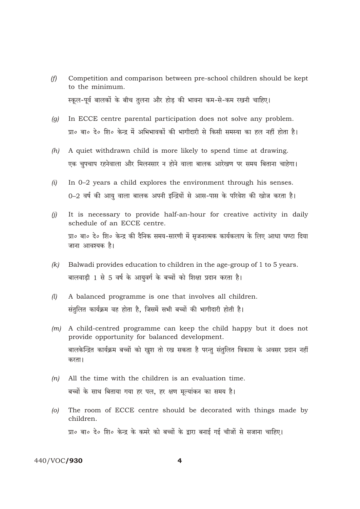- Competition and comparison between pre-school children should be kept  $(f)$ to the minimum. स्कल-पर्व बालकों के बीच तुलना और होड़ की भावना कम-से-कम रखनी चाहिए।
- In ECCE centre parental participation does not solve any problem.  $(q)$ प्रा० बा० दे० शि० केन्द्र में अभिभावकों की भागीदारी से किसी समस्या का हल नहीं होता है।
- A quiet withdrawn child is more likely to spend time at drawing.  $(h)$ एक चुपचाप रहनेवाला और मिलनसार न होने वाला बालक आरेखण पर समय बिताना चाहेगा।
- In 0-2 years a child explores the environment through his senses.  $(i)$ 0-2 वर्ष की आयु वाला बालक अपनी इन्द्रियों से आस-पास के परिवेश की खोज करता है।
- It is necessary to provide half-an-hour for creative activity in daily  $(i)$ schedule of an ECCE centre. प्रा० बा० दे० शि० केन्द्र की दैनिक समय-सारणी में सृजनात्मक कार्यकलाप के लिए आधा घण्टा दिया जाना आवश्यक है।
- $(k)$ Balwadi provides education to children in the age-group of 1 to 5 years. बालवाडी 1 से 5 वर्ष के आयुवर्ग के बच्चों को शिक्षा प्रदान करता है।
- $(l)$ A balanced programme is one that involves all children. संतुलित कार्यक्रम वह होता है, जिसमें सभी बच्चों की भागीदारी होती है।
- $(m)$  A child-centred programme can keep the child happy but it does not provide opportunity for balanced development. बालकेन्द्रित कार्यक्रम बच्चों को खुश तो रख सकता है परन्तु संतुलित विकास के अवसर प्रदान नहीं करता।
- $(n)$ All the time with the children is an evaluation time. बच्चों के साथ बिताया गया हर पल, हर क्षण मूल्यांकन का समय है।
- The room of ECCE centre should be decorated with things made by  $\overline{O}$ children. प्रा० बा० दे० शि० केन्द्र के कमरे को बच्चों के द्वारा बनाई गई चीजों से सजाना चाहिए।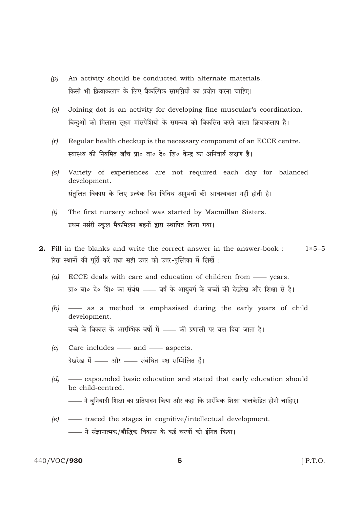- An activity should be conducted with alternate materials.  $(p)$ किसी भी क्रियाकलाप के लिए वैकल्पिक सामग्रियों का प्रयोग करना चाहिए।
- Joining dot is an activity for developing fine muscular's coordination.  $(a)$ बिन्दुओं को मिलाना सुक्ष्म मांसपेशियों के समन्वय को विकसित करने वाला क्रियाकलाप है।
- Regular health checkup is the necessary component of an ECCE centre.  $(r)$ स्वास्थ्य की नियमित जाँच प्रा० बा० दे० शि० केन्द्र का अनिवार्य लक्षण है।
- $(s)$ Variety of experiences are not required each day for balanced development. संतुलित विकास के लिए प्रत्येक दिन विविध अनुभवों की आवश्यकता नहीं होती है।
- $(t)$ The first nursery school was started by Macmillan Sisters. प्रथम नर्सरी स्कूल मैकमिलन बहनों द्वारा स्थापित किया गया।
- **2.** Fill in the blanks and write the correct answer in the answer-book:  $1 \times 5 = 5$ रिक्त स्थानों की पूर्ति करें तथा सही उत्तर को उत्तर-पुस्तिका में लिखें :
	- $(a)$ ECCE deals with care and education of children from - years. प्रा० बा० दे० शि० का संबंध —— वर्ष के आयुवर्ग के बच्चों की देखरेख और शिक्षा से है।
	- (b)  $\longrightarrow$  as a method is emphasised during the early years of child development. बच्चे के विकास के आरम्भिक वर्षों में —— की प्रणाली पर बल दिया जाता है।
	- $(c)$  Care includes and aspects. देखरेख में - और - संबंधित पक्ष सम्मिलित हैं।
	- $(d)$ - expounded basic education and stated that early education should be child-centred.
		- —— ने बुनियादी शिक्षा का प्रतिपादन किया और कहा कि प्रारंभिक शिक्षा बालकेंद्रित होनी चाहिए।
	- $(e)$  traced the stages in cognitive/intellectual development. —— ने संज्ञानात्मक/बौद्धिक विकास के कई चरणों को इंगित किया।

## 440/VOC/930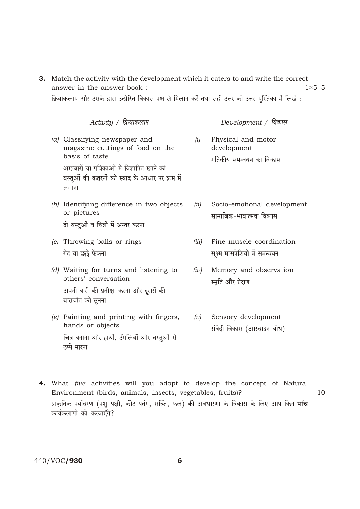3. Match the activity with the development which it caters to and write the correct answer in the answer-book :  $1 \times 5 = 5$ 

क्रियाकलाप और उसके द्वारा उत्प्रेरित विकास पक्ष से मिलान करें तथा सही उत्तर को उत्तर-पुस्तिका में लिखें :

| Activity / क्रियाकलाप                                                                                                                                                                        |       | Development / विकास                                          |
|----------------------------------------------------------------------------------------------------------------------------------------------------------------------------------------------|-------|--------------------------------------------------------------|
| (a) Classifying newspaper and<br>magazine cuttings of food on the<br>basis of taste<br>अखबारों या पत्रिकाओं में विज्ञापित खाने की<br>वस्तुओं की कतरनों को स्वाद के आधार पर क्रम में<br>लगाना | (i)   | Physical and motor<br>development<br>गतिकीय समन्वयन का विकास |
| (b) Identifying difference in two objects<br>or pictures<br>दो वस्तुओं व चित्रों में अन्तर करना                                                                                              | (ii)  | Socio-emotional development<br>सामाजिक-भावात्मक विकास        |
| (c) Throwing balls or rings<br>गेंद या छल्ले फेंकना                                                                                                                                          | (iii) | Fine muscle coordination<br>सूक्ष्म मांसपेशियों में समन्वयन  |
| (d) Waiting for turns and listening to<br>others' conversation<br>अपनी बारी की प्रतीक्षा करना और दूसरों की<br>बातचीत को सुनना                                                                | (iv)  | Memory and observation<br>स्मृति और प्रेक्षण                 |
| (e) Painting and printing with fingers,<br>hands or objects<br>चित्र बनाना और हाथों, उँगलियों और वस्तुओं से<br>ठप्पे मारना                                                                   | (v)   | Sensory development<br>संवेदी विकास (आस्वादन बोध)            |

4. What *five* activities will you adopt to develop the concept of Natural Environment (birds, animals, insects, vegetables, fruits)? 10 प्राकृतिक पर्यावरण (पशु-पक्षी, कीट-पतंग, सब्जि, फल) की अवधारणा के विकास के लिए आप किन **पाँच** कार्यकलापों को करवाएँगे?